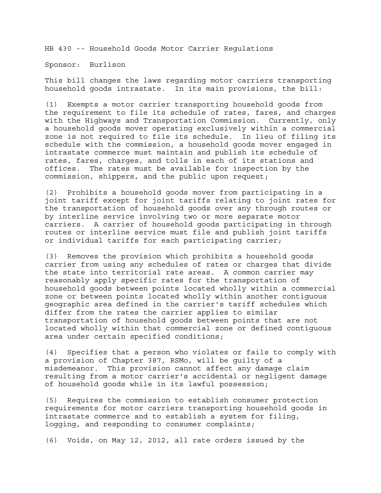HB 430 -- Household Goods Motor Carrier Regulations

Sponsor: Burlison

This bill changes the laws regarding motor carriers transporting household goods intrastate. In its main provisions, the bill:

(1) Exempts a motor carrier transporting household goods from the requirement to file its schedule of rates, fares, and charges with the Highways and Transportation Commission. Currently, only a household goods mover operating exclusively within a commercial zone is not required to file its schedule. In lieu of filing its schedule with the commission, a household goods mover engaged in intrastate commerce must maintain and publish its schedule of rates, fares, charges, and tolls in each of its stations and offices. The rates must be available for inspection by the commission, shippers, and the public upon request;

(2) Prohibits a household goods mover from participating in a joint tariff except for joint tariffs relating to joint rates for the transportation of household goods over any through routes or by interline service involving two or more separate motor carriers. A carrier of household goods participating in through routes or interline service must file and publish joint tariffs or individual tariffs for each participating carrier;

(3) Removes the provision which prohibits a household goods carrier from using any schedules of rates or charges that divide the state into territorial rate areas. A common carrier may reasonably apply specific rates for the transportation of household goods between points located wholly within a commercial zone or between points located wholly within another contiguous geographic area defined in the carrier's tariff schedules which differ from the rates the carrier applies to similar transportation of household goods between points that are not located wholly within that commercial zone or defined contiguous area under certain specified conditions;

(4) Specifies that a person who violates or fails to comply with a provision of Chapter 387, RSMo, will be guilty of a misdemeanor. This provision cannot affect any damage claim resulting from a motor carrier's accidental or negligent damage of household goods while in its lawful possession;

(5) Requires the commission to establish consumer protection requirements for motor carriers transporting household goods in intrastate commerce and to establish a system for filing, logging, and responding to consumer complaints;

(6) Voids, on May 12, 2012, all rate orders issued by the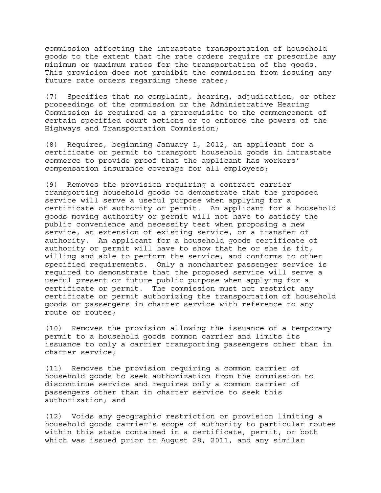commission affecting the intrastate transportation of household goods to the extent that the rate orders require or prescribe any minimum or maximum rates for the transportation of the goods. This provision does not prohibit the commission from issuing any future rate orders regarding these rates;

(7) Specifies that no complaint, hearing, adjudication, or other proceedings of the commission or the Administrative Hearing Commission is required as a prerequisite to the commencement of certain specified court actions or to enforce the powers of the Highways and Transportation Commission;

(8) Requires, beginning January 1, 2012, an applicant for a certificate or permit to transport household goods in intrastate commerce to provide proof that the applicant has workers' compensation insurance coverage for all employees;

(9) Removes the provision requiring a contract carrier transporting household goods to demonstrate that the proposed service will serve a useful purpose when applying for a certificate of authority or permit. An applicant for a household goods moving authority or permit will not have to satisfy the public convenience and necessity test when proposing a new service, an extension of existing service, or a transfer of authority. An applicant for a household goods certificate of authority or permit will have to show that he or she is fit, willing and able to perform the service, and conforms to other specified requirements. Only a noncharter passenger service is required to demonstrate that the proposed service will serve a useful present or future public purpose when applying for a certificate or permit. The commission must not restrict any certificate or permit authorizing the transportation of household goods or passengers in charter service with reference to any route or routes;

(10) Removes the provision allowing the issuance of a temporary permit to a household goods common carrier and limits its issuance to only a carrier transporting passengers other than in charter service;

(11) Removes the provision requiring a common carrier of household goods to seek authorization from the commission to discontinue service and requires only a common carrier of passengers other than in charter service to seek this authorization; and

(12) Voids any geographic restriction or provision limiting a household goods carrier's scope of authority to particular routes within this state contained in a certificate, permit, or both which was issued prior to August 28, 2011, and any similar